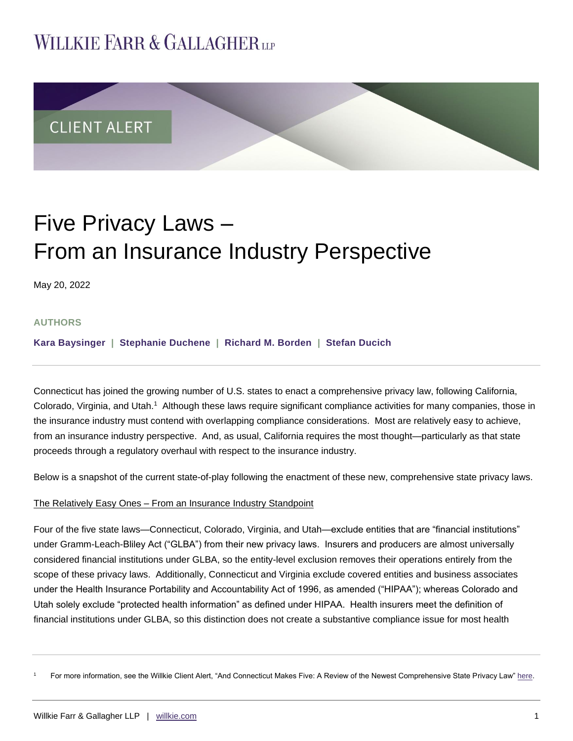## **WILLKIE FARR & GALLAGHERUP**



# Five Privacy Laws – From an Insurance Industry Perspective

May 20, 2022

#### **AUTHORS**

**Kara [Baysinger](https://www.willkie.com/professionals/b/baysinger-kara) | [Stephanie](https://www.willkie.com/professionals/d/duchene-stephanie) Duchene | [Richard](https://www.willkie.com/professionals/b/borden-rick) M. Borden | [Stefan Ducich](https://www.willkie.com/professionals/d/ducich-stefan)**

Connecticut has joined the growing number of U.S. states to enact a comprehensive privacy law, following California, Colorado, Virginia, and Utah.<sup>1</sup> Although these laws require significant compliance activities for many companies, those in the insurance industry must contend with overlapping compliance considerations. Most are relatively easy to achieve, from an insurance industry perspective. And, as usual, California requires the most thought—particularly as that state proceeds through a regulatory overhaul with respect to the insurance industry.

Below is a snapshot of the current state-of-play following the enactment of these new, comprehensive state privacy laws.

#### The Relatively Easy Ones – From an Insurance Industry Standpoint

Four of the five state laws—Connecticut, Colorado, Virginia, and Utah—exclude entities that are "financial institutions" under Gramm-Leach-Bliley Act ("GLBA") from their new privacy laws. Insurers and producers are almost universally considered financial institutions under GLBA, so the entity-level exclusion removes their operations entirely from the scope of these privacy laws. Additionally, Connecticut and Virginia exclude covered entities and business associates under the Health Insurance Portability and Accountability Act of 1996, as amended ("HIPAA"); whereas Colorado and Utah solely exclude "protected health information" as defined under HIPAA. Health insurers meet the definition of financial institutions under GLBA, so this distinction does not create a substantive compliance issue for most health

<sup>1</sup> For more information, see the Willkie Client Alert, "And Connecticut Makes Five: A Review of the Newest Comprehensive State Privacy Law" [here.](https://www.willkie.com/-/media/files/publications/2022/connecticutmakesfiveareviewofthenewestcomprehensiv.pdf)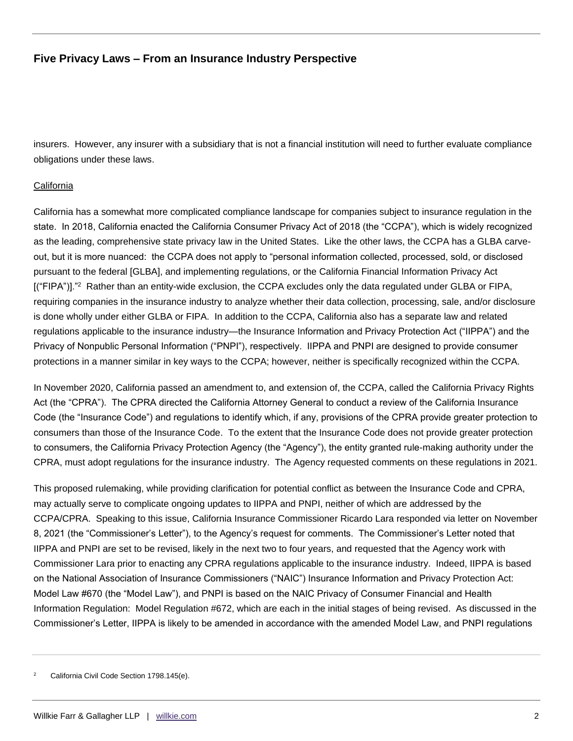## **Five Privacy Laws – From an Insurance Industry Perspective**

insurers. However, any insurer with a subsidiary that is not a financial institution will need to further evaluate compliance obligations under these laws.

#### **California**

California has a somewhat more complicated compliance landscape for companies subject to insurance regulation in the state. In 2018, California enacted the California Consumer Privacy Act of 2018 (the "CCPA"), which is widely recognized as the leading, comprehensive state privacy law in the United States. Like the other laws, the CCPA has a GLBA carveout, but it is more nuanced: the CCPA does not apply to "personal information collected, processed, sold, or disclosed pursuant to the federal [GLBA], and implementing regulations, or the California Financial Information Privacy Act [("FIPA")]."<sup>2</sup> Rather than an entity-wide exclusion, the CCPA excludes only the data regulated under GLBA or FIPA, requiring companies in the insurance industry to analyze whether their data collection, processing, sale, and/or disclosure is done wholly under either GLBA or FIPA. In addition to the CCPA, California also has a separate law and related regulations applicable to the insurance industry—the Insurance Information and Privacy Protection Act ("IIPPA") and the Privacy of Nonpublic Personal Information ("PNPI"), respectively. IIPPA and PNPI are designed to provide consumer protections in a manner similar in key ways to the CCPA; however, neither is specifically recognized within the CCPA.

In November 2020, California passed an amendment to, and extension of, the CCPA, called the California Privacy Rights Act (the "CPRA"). The CPRA directed the California Attorney General to conduct a review of the California Insurance Code (the "Insurance Code") and regulations to identify which, if any, provisions of the CPRA provide greater protection to consumers than those of the Insurance Code. To the extent that the Insurance Code does not provide greater protection to consumers, the California Privacy Protection Agency (the "Agency"), the entity granted rule-making authority under the CPRA, must adopt regulations for the insurance industry. The Agency requested comments on these regulations in 2021.

This proposed rulemaking, while providing clarification for potential conflict as between the Insurance Code and CPRA, may actually serve to complicate ongoing updates to IIPPA and PNPI, neither of which are addressed by the CCPA/CPRA. Speaking to this issue, California Insurance Commissioner Ricardo Lara responded via letter on November 8, 2021 (the "Commissioner's Letter"), to the Agency's request for comments. The Commissioner's Letter noted that IIPPA and PNPI are set to be revised, likely in the next two to four years, and requested that the Agency work with Commissioner Lara prior to enacting any CPRA regulations applicable to the insurance industry. Indeed, IIPPA is based on the National Association of Insurance Commissioners ("NAIC") Insurance Information and Privacy Protection Act: Model Law #670 (the "Model Law"), and PNPI is based on the NAIC Privacy of Consumer Financial and Health Information Regulation: Model Regulation #672, which are each in the initial stages of being revised. As discussed in the Commissioner's Letter, IIPPA is likely to be amended in accordance with the amended Model Law, and PNPI regulations

California Civil Code Section 1798.145(e).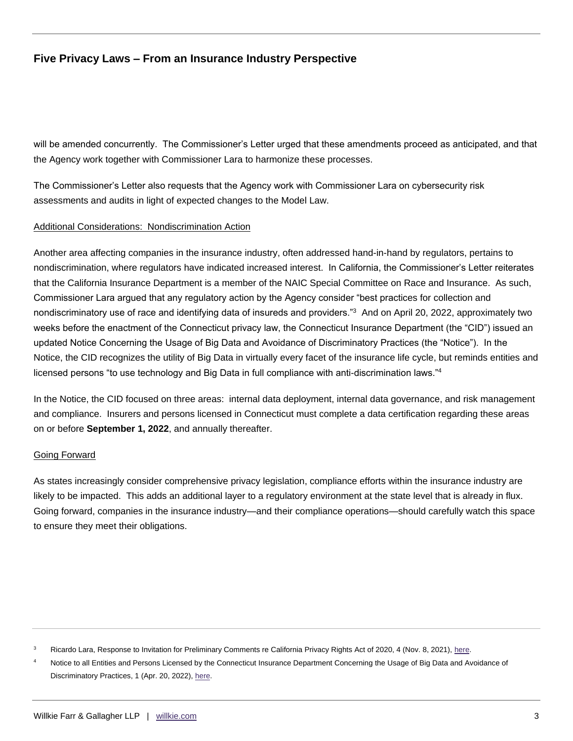## **Five Privacy Laws – From an Insurance Industry Perspective**

will be amended concurrently. The Commissioner's Letter urged that these amendments proceed as anticipated, and that the Agency work together with Commissioner Lara to harmonize these processes.

The Commissioner's Letter also requests that the Agency work with Commissioner Lara on cybersecurity risk assessments and audits in light of expected changes to the Model Law.

#### Additional Considerations: Nondiscrimination Action

Another area affecting companies in the insurance industry, often addressed hand-in-hand by regulators, pertains to nondiscrimination, where regulators have indicated increased interest. In California, the Commissioner's Letter reiterates that the California Insurance Department is a member of the NAIC Special Committee on Race and Insurance. As such, Commissioner Lara argued that any regulatory action by the Agency consider "best practices for collection and nondiscriminatory use of race and identifying data of insureds and providers."<sup>3</sup> And on April 20, 2022, approximately two weeks before the enactment of the Connecticut privacy law, the Connecticut Insurance Department (the "CID") issued an updated Notice Concerning the Usage of Big Data and Avoidance of Discriminatory Practices (the "Notice"). In the Notice, the CID recognizes the utility of Big Data in virtually every facet of the insurance life cycle, but reminds entities and licensed persons "to use technology and Big Data in full compliance with anti-discrimination laws."<sup>4</sup>

In the Notice, the CID focused on three areas: internal data deployment, internal data governance, and risk management and compliance. Insurers and persons licensed in Connecticut must complete a data certification regarding these areas on or before **September 1, 2022**, and annually thereafter.

#### Going Forward

As states increasingly consider comprehensive privacy legislation, compliance efforts within the insurance industry are likely to be impacted. This adds an additional layer to a regulatory environment at the state level that is already in flux. Going forward, companies in the insurance industry—and their compliance operations—should carefully watch this space to ensure they meet their obligations.

<sup>3</sup> Ricardo Lara, Response to Invitation for Preliminary Comments re California Privacy Rights Act of 2020, 4 (Nov. 8, 2021)[, here.](https://cppa.ca.gov/regulations/pdf/preliminary_rulemaking_comments_3.pdf)

Notice to all Entities and Persons Licensed by the Connecticut Insurance Department Concerning the Usage of Big Data and Avoidance of Discriminatory Practices, 1 (Apr. 20, 2022), [here.](https://portal.ct.gov/-/media/CID/1_Notices/Technologie-and-Big-Data-Use-Notice.pdf)